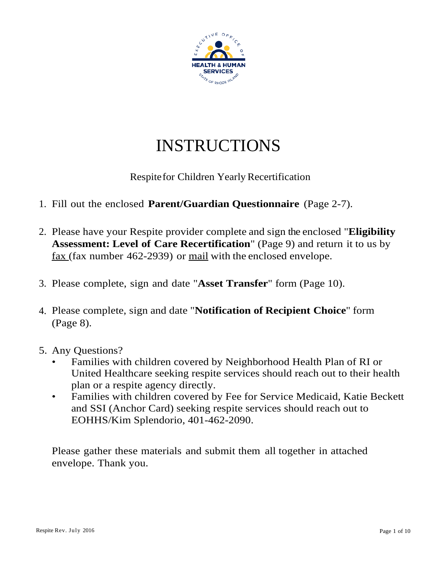

# INSTRUCTIONS

# Respitefor Children Yearly Recertification

- 1. Fill out the enclosed **Parent/Guardian Questionnaire** (Page 2-7).
- 2. Please have your Respite provider complete and sign the enclosed "**Eligibility Assessment: Level of Care Recertification**" (Page 9) and return it to us by  $\frac{\text{fax}}{\text{fax}}$  (fax number 462-2939) or <u>mail</u> with the enclosed envelope.
- 3. Please complete, sign and date "**Asset Transfer**" form (Page 10).
- 4. Please complete, sign and date "**Notification of Recipient Choice**" form (Page 8).
- 5. Any Questions?
	- Families with children covered by Neighborhood Health Plan of RI or United Healthcare seeking respite services should reach out to their health plan or a respite agency directly.
	- Families with children covered by Fee for Service Medicaid, Katie Beckett and SSI (Anchor Card) seeking respite services should reach out to EOHHS/Kim Splendorio, 401-462-2090.

Please gather these materials and submit them all together in attached envelope. Thank you.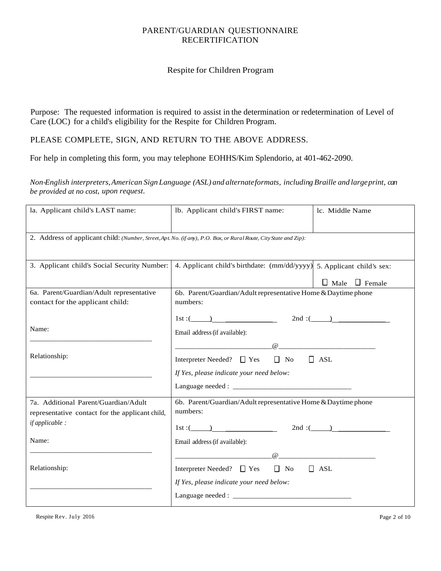#### PARENT/GUARDIAN QUESTIONNAIRE RECERTIFICATION

#### Respite for Children Program

Purpose: The requested information is required to assist in the determination or redetermination of Level of Care (LOC) for a child's eligibility for the Respite for Children Program.

### PLEASE COMPLETE, SIGN, AND RETURN TO THE ABOVE ADDRESS.

For help in completing this form, you may telephone EOHHS/Kim Splendorio, at 401-462-2090.

*Non-English interpreters,American Sign Language (ASL) and alternateformats, including Braille and largeprint, can be provided at no cost, upon request.*

| la. Applicant child's LAST name:                                                                                      | lb. Applicant child's FIRST name:                                                                                                                                                                       | lc. Middle Name           |
|-----------------------------------------------------------------------------------------------------------------------|---------------------------------------------------------------------------------------------------------------------------------------------------------------------------------------------------------|---------------------------|
| 2. Address of applicant child: (Number, Street, Apt. No. (if any), P.O. Box, or Rural Route, City State and Zip):     |                                                                                                                                                                                                         |                           |
| 3. Applicant child's Social Security Number:   4. Applicant child's birthdate: (mm/dd/yyyy) 5. Applicant child's sex: |                                                                                                                                                                                                         | $\Box$ Male $\Box$ Female |
| 6a. Parent/Guardian/Adult representative<br>contact for the applicant child:                                          | 6b. Parent/Guardian/Adult representative Home & Daytime phone<br>numbers:                                                                                                                               |                           |
| Name:                                                                                                                 | 1st : $($ 2nd : $($ 2nd : $)$<br>Email address (if available):                                                                                                                                          |                           |
| Relationship:                                                                                                         | Interpreter Needed? □ Yes □ No □ ASL<br>If Yes, please indicate your need below:                                                                                                                        |                           |
| 7a. Additional Parent/Guardian/Adult<br>representative contact for the applicant child,<br><i>if applicable :</i>     | 6b. Parent/Guardian/Adult representative Home & Daytime phone<br>numbers:                                                                                                                               |                           |
| Name:                                                                                                                 | 1st : $($ 2nd : $($ 2nd : $($ 2nd : $($ 2nd : $($ 2nd $)$<br>Email address (if available):                                                                                                              |                           |
| Relationship:                                                                                                         | $\overbrace{a}$ . The contract of the contract of $\overline{a}$ , we can be contracted to the contract of $\overline{a}$<br>Interpreter Needed? □ Yes □ No<br>If Yes, please indicate your need below: | $\Box$ ASL                |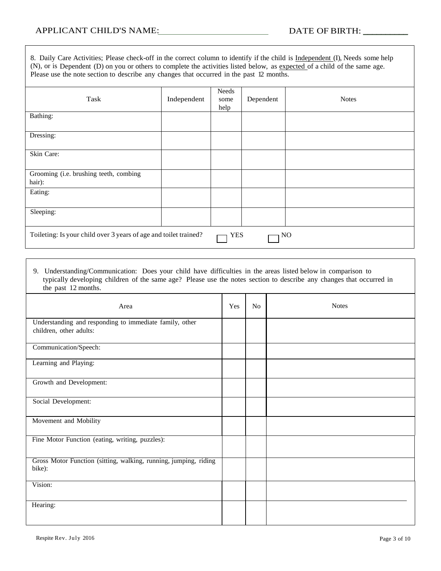7

| 8. Daily Care Activities; Please check-off in the correct column to identify if the child is Independent (I), Needs some help<br>(N), or is Dependent (D) on you or others to complete the activities listed below, as expected of a child of the same age.<br>Please use the note section to describe any changes that occurred in the past 12 months. |             |                       |           |              |  |
|---------------------------------------------------------------------------------------------------------------------------------------------------------------------------------------------------------------------------------------------------------------------------------------------------------------------------------------------------------|-------------|-----------------------|-----------|--------------|--|
| Task                                                                                                                                                                                                                                                                                                                                                    | Independent | Needs<br>some<br>help | Dependent | <b>Notes</b> |  |
| Bathing:                                                                                                                                                                                                                                                                                                                                                |             |                       |           |              |  |
| Dressing:                                                                                                                                                                                                                                                                                                                                               |             |                       |           |              |  |
| Skin Care:                                                                                                                                                                                                                                                                                                                                              |             |                       |           |              |  |
| Grooming (i.e. brushing teeth, combing<br>hair):                                                                                                                                                                                                                                                                                                        |             |                       |           |              |  |
| Eating:                                                                                                                                                                                                                                                                                                                                                 |             |                       |           |              |  |
| Sleeping:                                                                                                                                                                                                                                                                                                                                               |             |                       |           |              |  |
| Toileting: Is your child over 3 years of age and toilet trained?                                                                                                                                                                                                                                                                                        |             | YES                   |           | NO           |  |

#### 9. Understanding/Communication: Does your child have difficulties in the areas listed below in comparison to typically developing children of the same age? Please use the notes section to describe any changes that occurred in the past 12 months.

| Area                                                                               | Yes | N <sub>0</sub> | <b>Notes</b> |
|------------------------------------------------------------------------------------|-----|----------------|--------------|
| Understanding and responding to immediate family, other<br>children, other adults: |     |                |              |
| Communication/Speech:                                                              |     |                |              |
| Learning and Playing:                                                              |     |                |              |
| Growth and Development:                                                            |     |                |              |
| Social Development:                                                                |     |                |              |
| Movement and Mobility                                                              |     |                |              |
| Fine Motor Function (eating, writing, puzzles):                                    |     |                |              |
| Gross Motor Function (sitting, walking, running, jumping, riding<br>bike):         |     |                |              |
| Vision:                                                                            |     |                |              |
| Hearing:                                                                           |     |                |              |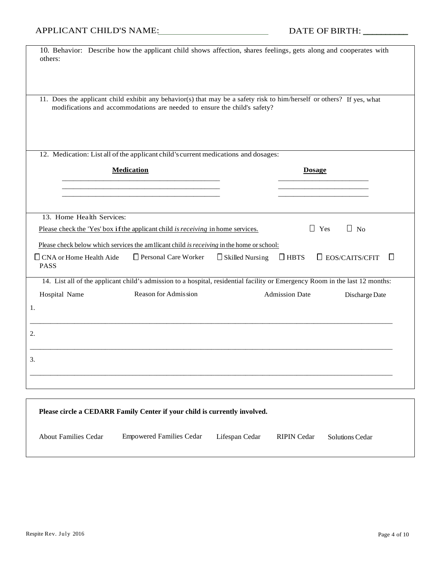| 10. Behavior: Describe how the applicant child shows affection, shares feelings, gets along and cooperates with<br>others:   |                                                                           |                        |                       |                               |
|------------------------------------------------------------------------------------------------------------------------------|---------------------------------------------------------------------------|------------------------|-----------------------|-------------------------------|
|                                                                                                                              |                                                                           |                        |                       |                               |
| 11. Does the applicant child exhibit any behavior(s) that may be a safety risk to him/herself or others? If yes, what        | modifications and accommodations are needed to ensure the child's safety? |                        |                       |                               |
| 12. Medication: List all of the applicant child's current medications and dosages:                                           |                                                                           |                        |                       |                               |
|                                                                                                                              | <b>Medication</b>                                                         |                        | <b>Dosage</b>         |                               |
|                                                                                                                              |                                                                           |                        |                       |                               |
|                                                                                                                              |                                                                           |                        |                       |                               |
| 13. Home Health Services:                                                                                                    |                                                                           |                        |                       |                               |
| Please check the 'Yes' box if the applicant child is receiving in home services.                                             |                                                                           |                        | $\Box$ Yes            | $\Box$ No                     |
| Please check below which services the am Ilicant child is receiving in the home or school:                                   |                                                                           |                        |                       |                               |
| $\Box$ CNA or Home Health Aide<br><b>PASS</b>                                                                                | Personal Care Worker                                                      | $\Box$ Skilled Nursing | $\Box$ HBTS           | $\square$ EOS/CAITS/CFIT<br>П |
| 14. List all of the applicant child's admission to a hospital, residential facility or Emergency Room in the last 12 months: |                                                                           |                        |                       |                               |
| Hospital Name                                                                                                                | Reason for Admission                                                      |                        | <b>Admission Date</b> | Discharge Date                |
| 1.                                                                                                                           |                                                                           |                        |                       |                               |
| 2.                                                                                                                           |                                                                           |                        |                       |                               |
|                                                                                                                              |                                                                           |                        |                       |                               |
| 3.                                                                                                                           |                                                                           |                        |                       |                               |
|                                                                                                                              |                                                                           |                        |                       |                               |
|                                                                                                                              |                                                                           |                        |                       |                               |

|                             | Please circle a CEDARR Family Center if your child is currently involved. |                |             |                 |  |
|-----------------------------|---------------------------------------------------------------------------|----------------|-------------|-----------------|--|
| <b>About Families Cedar</b> | <b>Empowered Families Cedar</b>                                           | Lifespan Cedar | RIPIN Cedar | Solutions Cedar |  |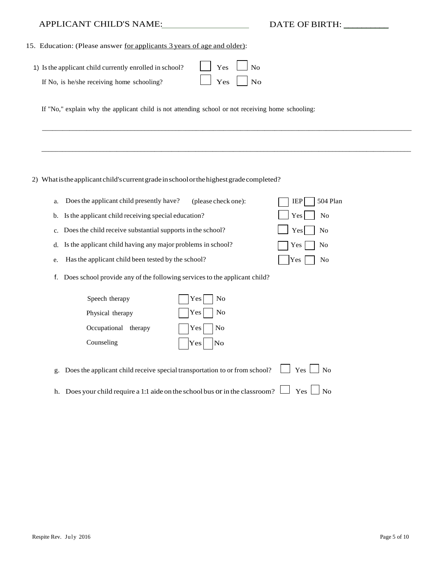## APPLICANT CHILD'S NAME: DATE OF BIRTH: \_\_\_\_\_\_\_\_\_\_

| 15. Education: (Please answer for applicants 3 years of age and older): |  |  |  |
|-------------------------------------------------------------------------|--|--|--|
|                                                                         |  |  |  |

| 1) Is the applicant child currently enrolled in school? | $\Box$ Yes $\Box$ No |
|---------------------------------------------------------|----------------------|
| If No, is he/she receiving home schooling?              | $\Box$ Yes $\Box$ No |

If "No," explain why the applicant child is not attending school or not receiving home schooling:

#### 2) What is the applicant child's current grade in school or the highest grade completed?

| a. Does the applicant child presently have?<br>(please check one): | $\Box$ IEP $\Box$ 504 Plan |
|--------------------------------------------------------------------|----------------------------|
| b. Is the applicant child receiving special education?             | $\vert$ Yes No             |
| c. Does the child receive substantial supports in the school?      | $Yes$ No                   |
| d. Is the applicant child having any major problems in school?     | $ $ $ $ Yes $ $ $ $ No     |
| e. Has the applicant child been tested by the school?              | $ $ Yes $ $ No             |

\_\_\_\_\_\_\_\_\_\_\_\_\_\_\_\_\_\_\_\_\_\_\_\_\_\_\_\_\_\_\_\_\_\_\_\_\_\_\_\_\_\_\_\_\_\_\_\_\_\_\_\_\_\_\_\_\_\_\_\_\_\_\_\_\_\_\_\_\_\_\_\_\_\_\_\_\_\_\_\_\_\_\_\_\_\_\_\_\_\_\_\_\_\_\_\_\_\_\_\_\_\_\_\_\_\_\_\_

\_\_\_\_\_\_\_\_\_\_\_\_\_\_\_\_\_\_\_\_\_\_\_\_\_\_\_\_\_\_\_\_\_\_\_\_\_\_\_\_\_\_\_\_\_\_\_\_\_\_\_\_\_\_\_\_\_\_\_\_\_\_\_\_\_\_\_\_\_\_\_\_\_\_\_\_\_\_\_\_\_\_\_\_\_\_\_\_\_\_\_\_\_\_\_\_\_\_\_\_\_\_\_\_\_\_\_\_

f. Does school provide any of the following servicesto the applicant child?

| Speech therapy       | $ $ Yes $ $ No |
|----------------------|----------------|
| Physical therapy     | $ $ Yes $ $ No |
| Occupational therapy | $ $ Yes $ $ No |
| Counseling           | $ $ Yes No     |

|  | g. Does the applicant child receive special transportation to or from school? $\Box$ Yes $\Box$ No |  |  |  |  |
|--|----------------------------------------------------------------------------------------------------|--|--|--|--|
|--|----------------------------------------------------------------------------------------------------|--|--|--|--|

h. Does your child require a 1:1 aide on the school bus or in the classroom?  $\Box$  Yes  $\Box$  No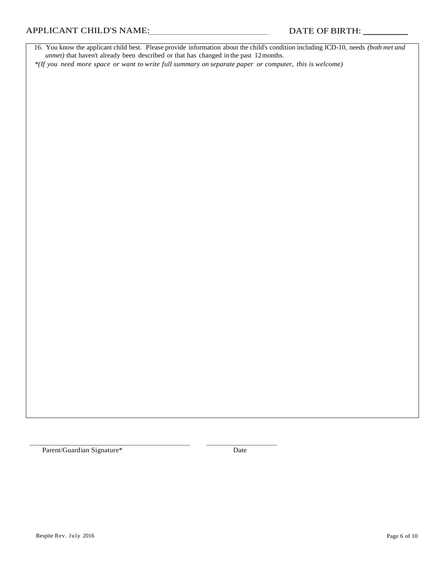16. You know the applicant child best. Please provide information about the child's condition including ICD-10, needs *(both met and unmet)* that haven't already been described or that has changed in the past 12months.

*\*(If you need more space or want to write full summary on separate paper or computer, this is welcome)*

Parent/Guardian Signature\* Date

\_\_\_\_\_\_\_\_\_\_\_\_\_\_\_\_\_\_\_\_\_\_\_\_\_\_\_\_\_\_\_\_\_\_\_\_\_\_\_\_\_\_\_\_\_\_\_\_\_\_ \_\_\_\_\_\_\_\_\_\_\_\_\_\_\_\_\_\_\_\_\_\_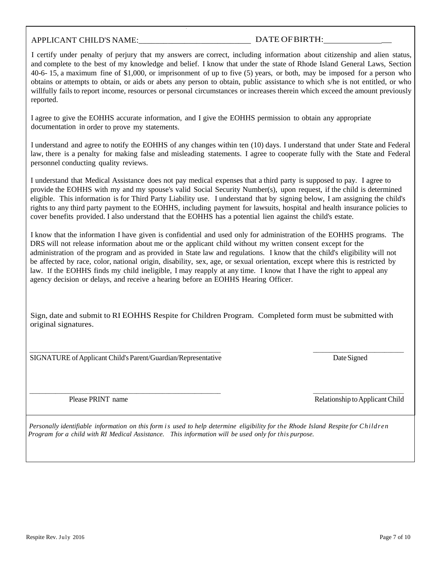#### APPLICANT CHILD'S NAME:  $\blacksquare$

I certify under penalty of perjury that my answers are correct, including information about citizenship and alien status, and complete to the best of my knowledge and belief. I know that under the state of Rhode Island General Laws, Section 40-6- 15, a maximum fine of \$1,000, or imprisonment of up to five (5) years, or both, may be imposed for a person who obtains or attempts to obtain, or aids or abets any person to obtain, public assistance to which s/he is not entitled, or who willfully fails to report income, resources or personal circumstances or increases therein which exceed the amount previously reported.

I agree to give the EOHHS accurate information, and I give the EOHHS permission to obtain any appropriate documentation in order to prove my statements.

.

I understand and agree to notify the EOHHS of any changes within ten (10) days. I understand that under State and Federal law, there is a penalty for making false and misleading statements. I agree to cooperate fully with the State and Federal personnel conducting quality reviews.

I understand that Medical Assistance does not pay medical expenses that a third party is supposed to pay. I agree to provide the EOHHS with my and my spouse's valid Social Security Number(s), upon request, if the child is determined eligible. This information is for Third Party Liability use. I understand that by signing below, I am assigning the child's rights to any third party payment to the EOHHS, including payment for lawsuits, hospital and health insurance policies to cover benefits provided. I also understand that the EOHHS has a potential lien against the child's estate.

I know that the information I have given is confidential and used only for administration of the EOHHS programs. The DRS will not release information about me or the applicant child without my written consent except for the administration of the program and as provided in State law and regulations. I know that the child's eligibility will not be affected by race, color, national origin, disability, sex, age, or sexual orientation, except where this is restricted by law. If the EOHHS finds my child ineligible, I may reapply at any time. I know that I have the right to appeal any agency decision or delays, and receive a hearing before an EOHHS Hearing Officer.

Sign, date and submit to RI EOHHS Respite for Children Program. Completed form must be submitted with original signatures.

 \_\_\_\_\_\_\_\_\_\_\_\_\_\_\_\_\_\_\_\_\_\_\_\_\_\_\_\_\_\_\_\_\_\_\_\_\_\_\_\_\_\_\_\_\_\_\_\_\_\_\_\_\_\_\_\_\_\_\_ \_\_\_\_\_\_\_\_\_\_\_\_\_\_\_\_\_\_\_\_\_\_\_\_\_\_\_\_ SIGNATURE of Applicant Child's Parent/Guardian/Representative Date Signed Date Signed

Please PRINT name Relationship to Applicant Child

Personally identifiable information on this form is used to help determine eligibility for the Rhode Island Respite for Children *Program for a child with RI Medical Assistance. This information will be used only for this purpose.*

\_\_\_\_\_\_\_\_\_\_\_\_\_\_\_\_\_\_\_\_\_\_\_\_\_\_\_\_\_\_\_\_\_\_\_\_\_\_\_\_\_\_\_\_\_\_\_\_\_\_\_\_\_\_\_\_\_\_\_ \_\_\_\_\_\_\_\_\_\_\_\_\_\_\_\_\_\_\_\_\_\_\_\_\_\_\_\_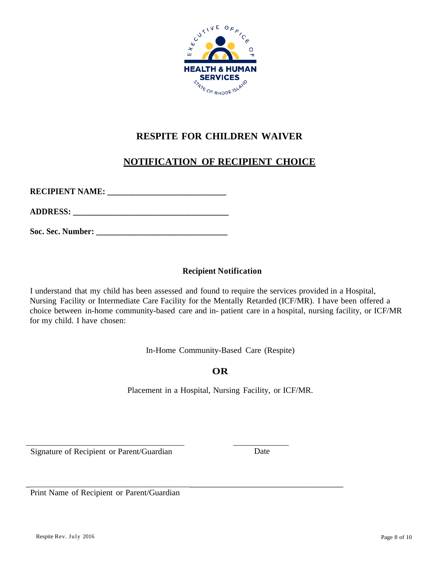

# **RESPITE FOR CHILDREN WAIVER**

# **NOTIFICATION OF RECIPIENT CHOICE**

**RECIPIENT NAME: \_\_\_\_\_\_\_\_\_\_\_\_\_\_\_\_\_\_\_\_\_\_\_\_\_\_\_\_\_** 

**ADDRESS: \_\_\_\_\_\_\_\_\_\_\_\_\_\_\_\_\_\_\_\_\_\_\_\_\_\_\_\_\_\_\_\_\_\_\_\_\_\_**

Soc. Sec. Number:

### **Recipient Notification**

I understand that my child has been assessed and found to require the services provided in a Hospital, Nursing Facility or Intermediate Care Facility for the Mentally Retarded (ICF/MR). I have been offered a choice between in-home community-based care and in- patient care in a hospital, nursing facility, or ICF/MR for my child. I have chosen:

In-Home Community-Based Care (Respite)

# **OR**

Placement in a Hospital, Nursing Facility, or ICF/MR.

Signature of Recipient or Parent/Guardian Date

\_\_\_\_\_\_\_\_\_\_\_\_\_\_\_\_\_\_\_\_\_\_\_\_\_\_\_\_\_\_\_\_\_\_\_\_\_\_\_\_ \_\_\_\_\_\_\_\_\_\_\_\_\_\_

\_\_\_\_\_\_\_\_\_\_\_\_\_\_\_\_\_\_\_\_\_\_\_\_\_\_\_\_\_\_\_\_\_\_\_\_\_\_\_\_\_\_\_\_\_\_\_\_\_\_\_\_\_\_\_\_\_\_\_\_\_\_\_\_\_\_\_\_\_\_\_\_\_\_ Print Name of Recipient or Parent/Guardian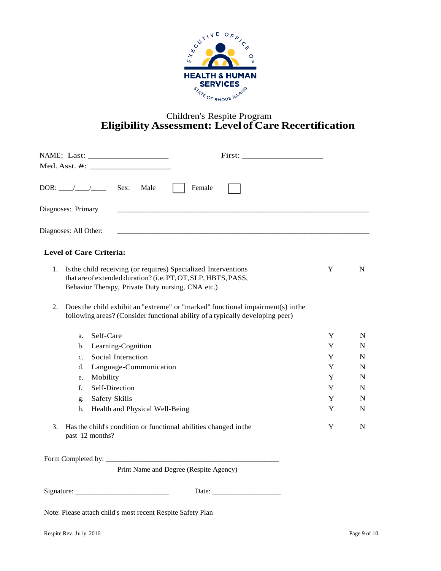

### Children's Respite Program **Eligibility Assessment: Level of Care Recertification**

|                                | Sex:<br>Male<br>Female                                                                                                                                                                                                                                                                                                                                   |   |   |
|--------------------------------|----------------------------------------------------------------------------------------------------------------------------------------------------------------------------------------------------------------------------------------------------------------------------------------------------------------------------------------------------------|---|---|
| Diagnoses: Primary             |                                                                                                                                                                                                                                                                                                                                                          |   |   |
| Diagnoses: All Other:          |                                                                                                                                                                                                                                                                                                                                                          |   |   |
| <b>Level of Care Criteria:</b> |                                                                                                                                                                                                                                                                                                                                                          |   |   |
| 1.<br>2.                       | Is the child receiving (or requires) Specialized Interventions<br>that are of extended duration? (i.e. PT, OT, SLP, HBTS, PASS,<br>Behavior Therapy, Private Duty nursing, CNA etc.)<br>Does the child exhibit an "extreme" or "marked" functional impairment(s) in the<br>following areas? (Consider functional ability of a typically developing peer) | Y | N |
| Self-Care<br>a.                |                                                                                                                                                                                                                                                                                                                                                          | Y | N |
| $b_{\cdot}$                    | Learning-Cognition                                                                                                                                                                                                                                                                                                                                       | Y | N |
| $c_{\cdot}$                    | Social Interaction                                                                                                                                                                                                                                                                                                                                       | Y | N |
| d.                             | Language-Communication                                                                                                                                                                                                                                                                                                                                   | Y | N |
| Mobility<br>e.                 |                                                                                                                                                                                                                                                                                                                                                          | Y | N |
| $f_{\cdot}$                    | Self-Direction                                                                                                                                                                                                                                                                                                                                           | Y | N |
| g.                             | Safety Skills                                                                                                                                                                                                                                                                                                                                            | Y | N |
| h.                             | Health and Physical Well-Being                                                                                                                                                                                                                                                                                                                           | Y | N |
| 3.<br>past 12 months?          | Has the child's condition or functional abilities changed in the                                                                                                                                                                                                                                                                                         | Y | N |
|                                |                                                                                                                                                                                                                                                                                                                                                          |   |   |
|                                | Print Name and Degree (Respite Agency)                                                                                                                                                                                                                                                                                                                   |   |   |
| Signature:                     | Date:                                                                                                                                                                                                                                                                                                                                                    |   |   |

Note: Please attach child's most recent Respite Safety Plan